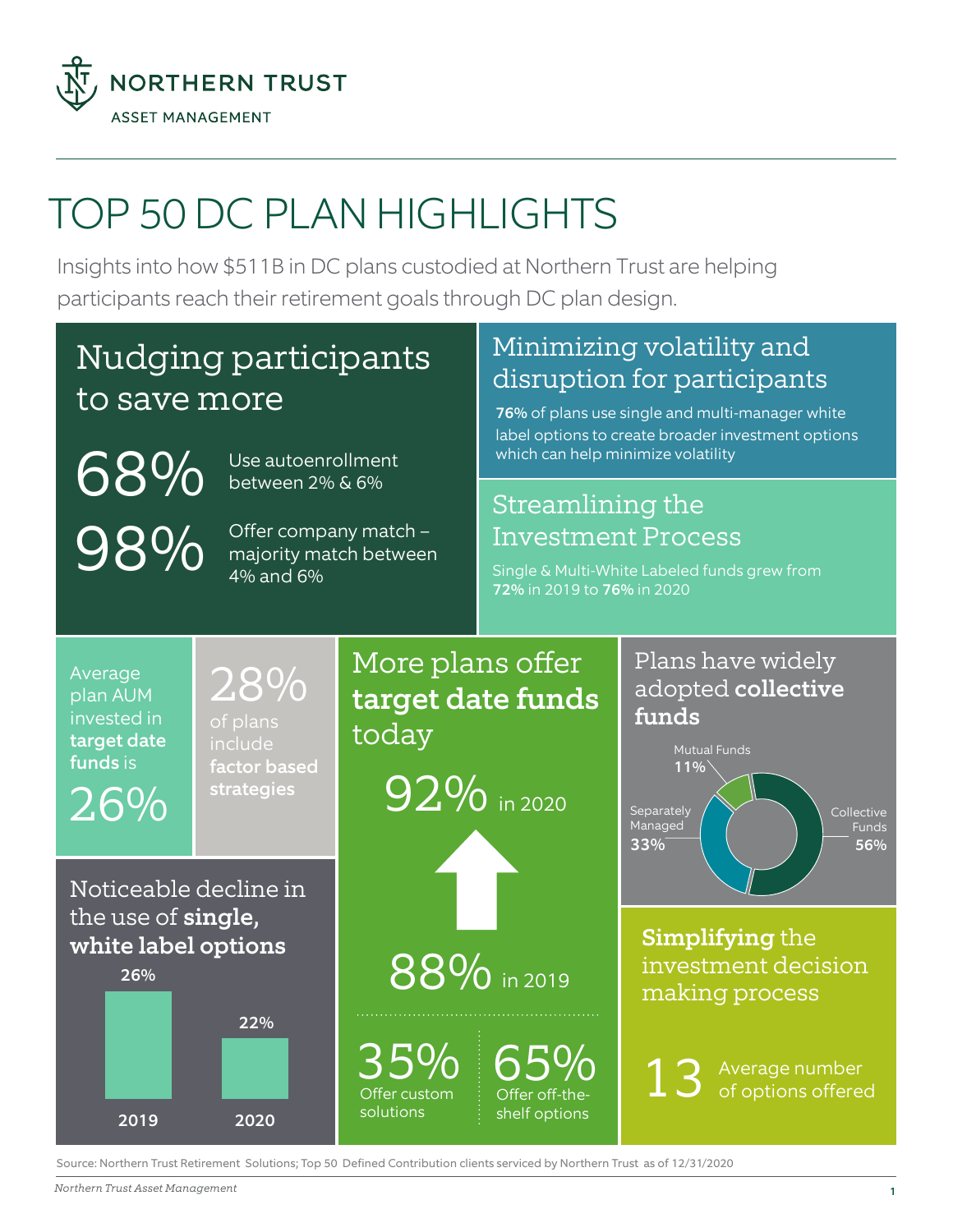

# TOP 50 DC PLAN HIGHLIGHTS

Insights into how \$511B in DC plans custodied at Northern Trust are helping participants reach their retirement goals through DC plan design.

## Nudging participants to save more

68% 98%

Offer company match – majority match between

Use autoenrollment between 2% & 6%

4% and 6%

### Minimizing volatility and disruption for participants

76% of plans use single and multi-manager white label options to create broader investment options which can help minimize volatility

#### Streamlining the Investment Process

Single & Multi-White Labeled funds grew from 72% in 2019 to 76% in 2020



Source: Northern Trust Retirement Solutions; Top 50 Defined Contribution clients serviced by Northern Trust as of 12/31/2020